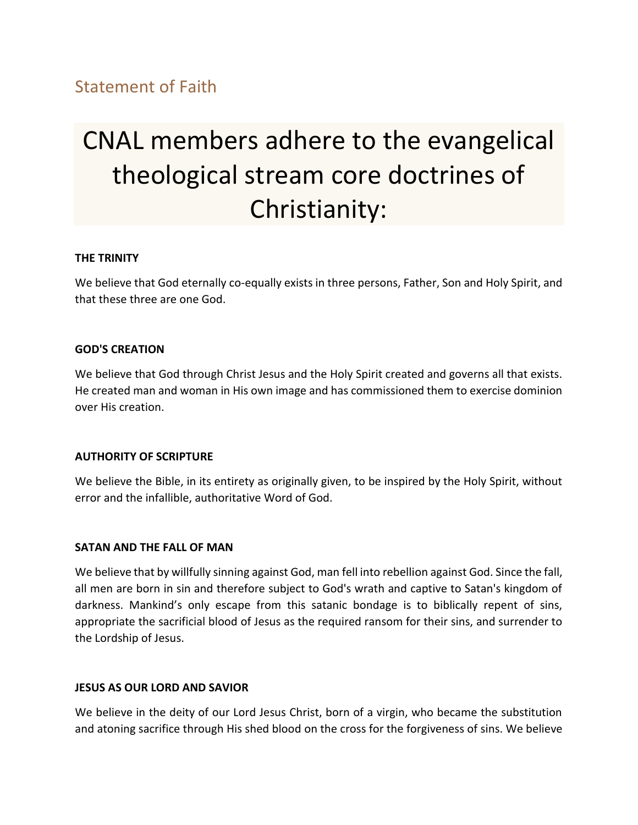### Statement of Faith

## CNAL members adhere to the evangelical theological stream core doctrines of Christianity:

#### **THE TRINITY**

We believe that God eternally co-equally exists in three persons, Father, Son and Holy Spirit, and that these three are one God.

#### **GOD'S CREATION**

We believe that God through Christ Jesus and the Holy Spirit created and governs all that exists. He created man and woman in His own image and has commissioned them to exercise dominion over His creation.

#### **AUTHORITY OF SCRIPTURE**

We believe the Bible, in its entirety as originally given, to be inspired by the Holy Spirit, without error and the infallible, authoritative Word of God.

#### **SATAN AND THE FALL OF MAN**

We believe that by willfully sinning against God, man fell into rebellion against God. Since the fall, all men are born in sin and therefore subject to God's wrath and captive to Satan's kingdom of darkness. Mankind's only escape from this satanic bondage is to biblically repent of sins, appropriate the sacrificial blood of Jesus as the required ransom for their sins, and surrender to the Lordship of Jesus.

#### **JESUS AS OUR LORD AND SAVIOR**

We believe in the deity of our Lord Jesus Christ, born of a virgin, who became the substitution and atoning sacrifice through His shed blood on the cross for the forgiveness of sins. We believe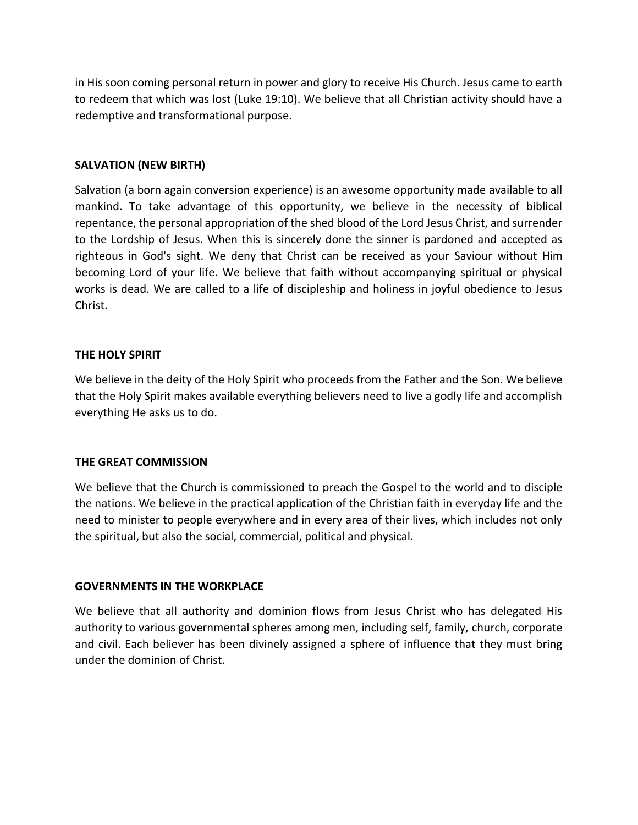in His soon coming personal return in power and glory to receive His Church. Jesus came to earth to redeem that which was lost (Luke 19:10). We believe that all Christian activity should have a redemptive and transformational purpose.

#### **SALVATION (NEW BIRTH)**

Salvation (a born again conversion experience) is an awesome opportunity made available to all mankind. To take advantage of this opportunity, we believe in the necessity of biblical repentance, the personal appropriation of the shed blood of the Lord Jesus Christ, and surrender to the Lordship of Jesus. When this is sincerely done the sinner is pardoned and accepted as righteous in God's sight. We deny that Christ can be received as your Saviour without Him becoming Lord of your life. We believe that faith without accompanying spiritual or physical works is dead. We are called to a life of discipleship and holiness in joyful obedience to Jesus Christ.

#### **THE HOLY SPIRIT**

We believe in the deity of the Holy Spirit who proceeds from the Father and the Son. We believe that the Holy Spirit makes available everything believers need to live a godly life and accomplish everything He asks us to do.

#### **THE GREAT COMMISSION**

We believe that the Church is commissioned to preach the Gospel to the world and to disciple the nations. We believe in the practical application of the Christian faith in everyday life and the need to minister to people everywhere and in every area of their lives, which includes not only the spiritual, but also the social, commercial, political and physical.

#### **GOVERNMENTS IN THE WORKPLACE**

We believe that all authority and dominion flows from Jesus Christ who has delegated His authority to various governmental spheres among men, including self, family, church, corporate and civil. Each believer has been divinely assigned a sphere of influence that they must bring under the dominion of Christ.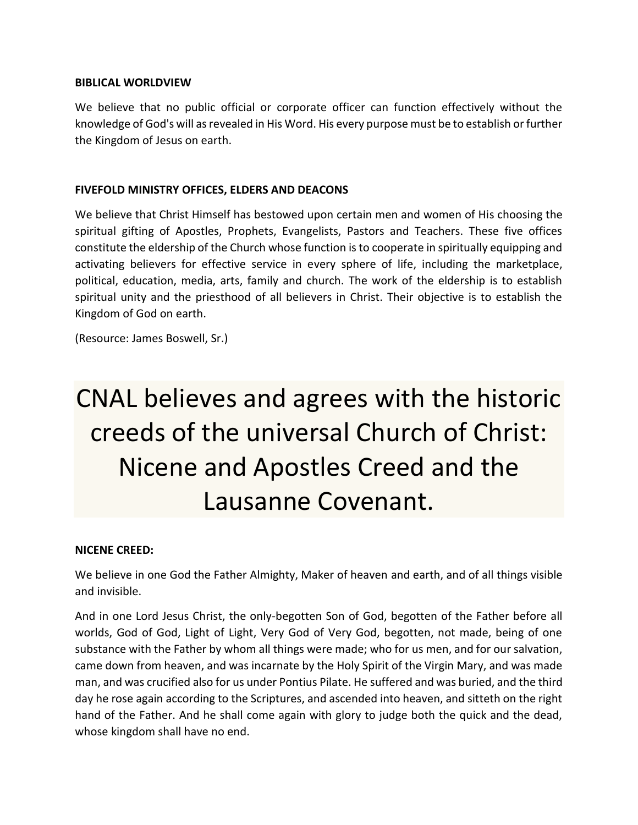#### **BIBLICAL WORLDVIEW**

We believe that no public official or corporate officer can function effectively without the knowledge of God's will as revealed in His Word. His every purpose must be to establish or further the Kingdom of Jesus on earth.

#### **FIVEFOLD MINISTRY OFFICES, ELDERS AND DEACONS**

We believe that Christ Himself has bestowed upon certain men and women of His choosing the spiritual gifting of Apostles, Prophets, Evangelists, Pastors and Teachers. These five offices constitute the eldership of the Church whose function is to cooperate in spiritually equipping and activating believers for effective service in every sphere of life, including the marketplace, political, education, media, arts, family and church. The work of the eldership is to establish spiritual unity and the priesthood of all believers in Christ. Their objective is to establish the Kingdom of God on earth.

(Resource: James Boswell, Sr.)

# CNAL believes and agrees with the historic creeds of the universal Church of Christ: Nicene and Apostles Creed and the Lausanne Covenant.

#### **NICENE CREED:**

We believe in one God the Father Almighty, Maker of heaven and earth, and of all things visible and invisible.

And in one Lord Jesus Christ, the only-begotten Son of God, begotten of the Father before all worlds, God of God, Light of Light, Very God of Very God, begotten, not made, being of one substance with the Father by whom all things were made; who for us men, and for our salvation, came down from heaven, and was incarnate by the Holy Spirit of the Virgin Mary, and was made man, and was crucified also for us under Pontius Pilate. He suffered and was buried, and the third day he rose again according to the Scriptures, and ascended into heaven, and sitteth on the right hand of the Father. And he shall come again with glory to judge both the quick and the dead, whose kingdom shall have no end.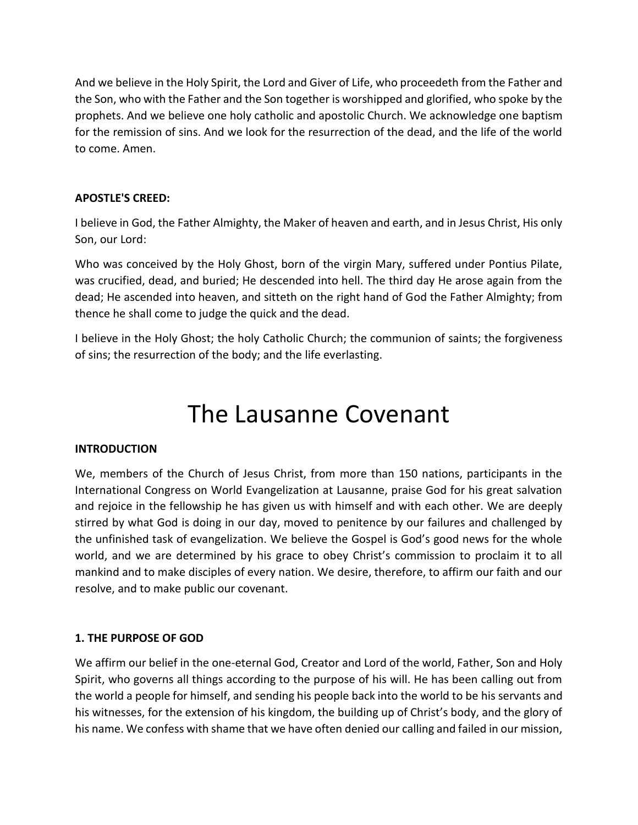And we believe in the Holy Spirit, the Lord and Giver of Life, who proceedeth from the Father and the Son, who with the Father and the Son together is worshipped and glorified, who spoke by the prophets. And we believe one holy catholic and apostolic Church. We acknowledge one baptism for the remission of sins. And we look for the resurrection of the dead, and the life of the world to come. Amen.

#### **APOSTLE'S CREED:**

I believe in God, the Father Almighty, the Maker of heaven and earth, and in Jesus Christ, His only Son, our Lord:

Who was conceived by the Holy Ghost, born of the virgin Mary, suffered under Pontius Pilate, was crucified, dead, and buried; He descended into hell. The third day He arose again from the dead; He ascended into heaven, and sitteth on the right hand of God the Father Almighty; from thence he shall come to judge the quick and the dead.

I believe in the Holy Ghost; the holy Catholic Church; the communion of saints; the forgiveness of sins; the resurrection of the body; and the life everlasting.

### The Lausanne Covenant

#### **INTRODUCTION**

We, members of the Church of Jesus Christ, from more than 150 nations, participants in the International Congress on World Evangelization at Lausanne, praise God for his great salvation and rejoice in the fellowship he has given us with himself and with each other. We are deeply stirred by what God is doing in our day, moved to penitence by our failures and challenged by the unfinished task of evangelization. We believe the Gospel is God's good news for the whole world, and we are determined by his grace to obey Christ's commission to proclaim it to all mankind and to make disciples of every nation. We desire, therefore, to affirm our faith and our resolve, and to make public our covenant.

#### **1. THE PURPOSE OF GOD**

We affirm our belief in the one-eternal God, Creator and Lord of the world, Father, Son and Holy Spirit, who governs all things according to the purpose of his will. He has been calling out from the world a people for himself, and sending his people back into the world to be his servants and his witnesses, for the extension of his kingdom, the building up of Christ's body, and the glory of his name. We confess with shame that we have often denied our calling and failed in our mission,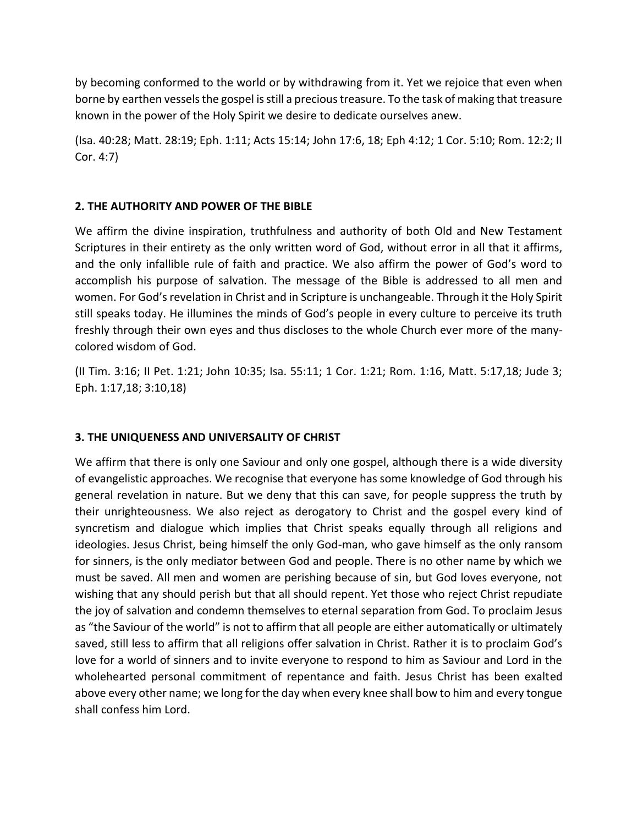by becoming conformed to the world or by withdrawing from it. Yet we rejoice that even when borne by earthen vessels the gospel is still a precious treasure. To the task of making that treasure known in the power of the Holy Spirit we desire to dedicate ourselves anew.

(Isa. 40:28; Matt. 28:19; Eph. 1:11; Acts 15:14; John 17:6, 18; Eph 4:12; 1 Cor. 5:10; Rom. 12:2; II Cor. 4:7)

#### **2. THE AUTHORITY AND POWER OF THE BIBLE**

We affirm the divine inspiration, truthfulness and authority of both Old and New Testament Scriptures in their entirety as the only written word of God, without error in all that it affirms, and the only infallible rule of faith and practice. We also affirm the power of God's word to accomplish his purpose of salvation. The message of the Bible is addressed to all men and women. For God's revelation in Christ and in Scripture is unchangeable. Through it the Holy Spirit still speaks today. He illumines the minds of God's people in every culture to perceive its truth freshly through their own eyes and thus discloses to the whole Church ever more of the manycolored wisdom of God.

(II Tim. 3:16; II Pet. 1:21; John 10:35; Isa. 55:11; 1 Cor. 1:21; Rom. 1:16, Matt. 5:17,18; Jude 3; Eph. 1:17,18; 3:10,18)

#### **3. THE UNIQUENESS AND UNIVERSALITY OF CHRIST**

We affirm that there is only one Saviour and only one gospel, although there is a wide diversity of evangelistic approaches. We recognise that everyone has some knowledge of God through his general revelation in nature. But we deny that this can save, for people suppress the truth by their unrighteousness. We also reject as derogatory to Christ and the gospel every kind of syncretism and dialogue which implies that Christ speaks equally through all religions and ideologies. Jesus Christ, being himself the only God-man, who gave himself as the only ransom for sinners, is the only mediator between God and people. There is no other name by which we must be saved. All men and women are perishing because of sin, but God loves everyone, not wishing that any should perish but that all should repent. Yet those who reject Christ repudiate the joy of salvation and condemn themselves to eternal separation from God. To proclaim Jesus as "the Saviour of the world" is not to affirm that all people are either automatically or ultimately saved, still less to affirm that all religions offer salvation in Christ. Rather it is to proclaim God's love for a world of sinners and to invite everyone to respond to him as Saviour and Lord in the wholehearted personal commitment of repentance and faith. Jesus Christ has been exalted above every other name; we long for the day when every knee shall bow to him and every tongue shall confess him Lord.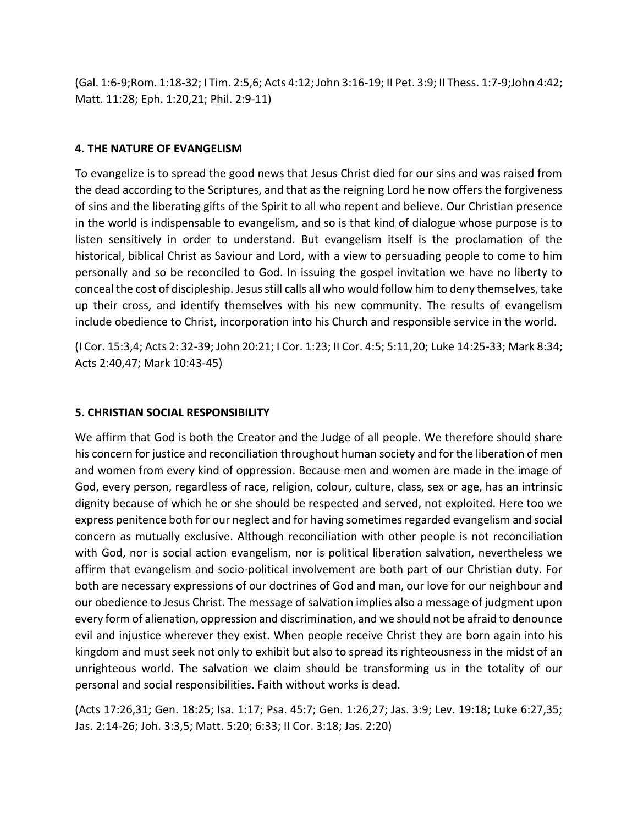(Gal. 1:6-9;Rom. 1:18-32; I Tim. 2:5,6; Acts 4:12; John 3:16-19; II Pet. 3:9; II Thess. 1:7-9;John 4:42; Matt. 11:28; Eph. 1:20,21; Phil. 2:9-11)

#### **4. THE NATURE OF EVANGELISM**

To evangelize is to spread the good news that Jesus Christ died for our sins and was raised from the dead according to the Scriptures, and that as the reigning Lord he now offers the forgiveness of sins and the liberating gifts of the Spirit to all who repent and believe. Our Christian presence in the world is indispensable to evangelism, and so is that kind of dialogue whose purpose is to listen sensitively in order to understand. But evangelism itself is the proclamation of the historical, biblical Christ as Saviour and Lord, with a view to persuading people to come to him personally and so be reconciled to God. In issuing the gospel invitation we have no liberty to conceal the cost of discipleship. Jesus still calls all who would follow him to deny themselves, take up their cross, and identify themselves with his new community. The results of evangelism include obedience to Christ, incorporation into his Church and responsible service in the world.

(I Cor. 15:3,4; Acts 2: 32-39; John 20:21; I Cor. 1:23; II Cor. 4:5; 5:11,20; Luke 14:25-33; Mark 8:34; Acts 2:40,47; Mark 10:43-45)

#### **5. CHRISTIAN SOCIAL RESPONSIBILITY**

We affirm that God is both the Creator and the Judge of all people. We therefore should share his concern for justice and reconciliation throughout human society and for the liberation of men and women from every kind of oppression. Because men and women are made in the image of God, every person, regardless of race, religion, colour, culture, class, sex or age, has an intrinsic dignity because of which he or she should be respected and served, not exploited. Here too we express penitence both for our neglect and for having sometimes regarded evangelism and social concern as mutually exclusive. Although reconciliation with other people is not reconciliation with God, nor is social action evangelism, nor is political liberation salvation, nevertheless we affirm that evangelism and socio-political involvement are both part of our Christian duty. For both are necessary expressions of our doctrines of God and man, our love for our neighbour and our obedience to Jesus Christ. The message of salvation implies also a message of judgment upon every form of alienation, oppression and discrimination, and we should not be afraid to denounce evil and injustice wherever they exist. When people receive Christ they are born again into his kingdom and must seek not only to exhibit but also to spread its righteousness in the midst of an unrighteous world. The salvation we claim should be transforming us in the totality of our personal and social responsibilities. Faith without works is dead.

(Acts 17:26,31; Gen. 18:25; Isa. 1:17; Psa. 45:7; Gen. 1:26,27; Jas. 3:9; Lev. 19:18; Luke 6:27,35; Jas. 2:14-26; Joh. 3:3,5; Matt. 5:20; 6:33; II Cor. 3:18; Jas. 2:20)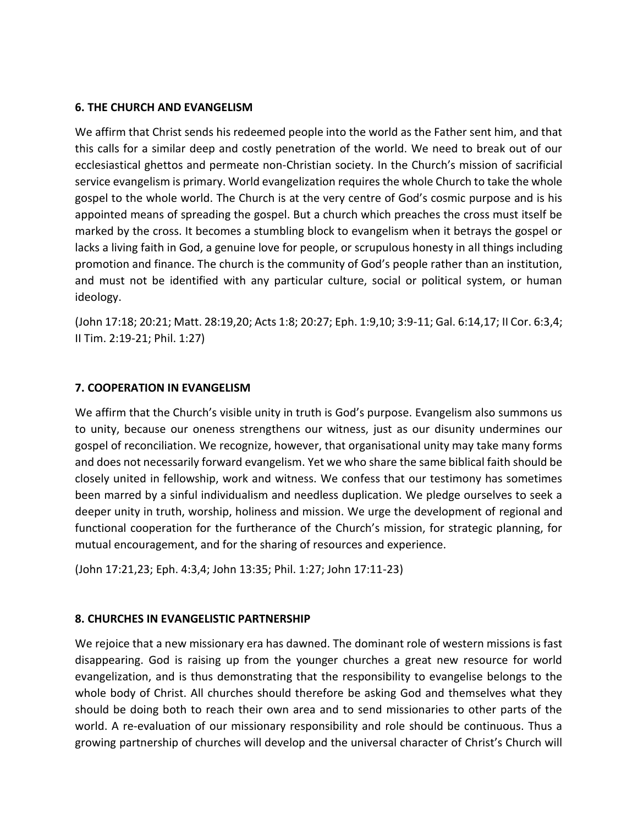#### **6. THE CHURCH AND EVANGELISM**

We affirm that Christ sends his redeemed people into the world as the Father sent him, and that this calls for a similar deep and costly penetration of the world. We need to break out of our ecclesiastical ghettos and permeate non-Christian society. In the Church's mission of sacrificial service evangelism is primary. World evangelization requires the whole Church to take the whole gospel to the whole world. The Church is at the very centre of God's cosmic purpose and is his appointed means of spreading the gospel. But a church which preaches the cross must itself be marked by the cross. It becomes a stumbling block to evangelism when it betrays the gospel or lacks a living faith in God, a genuine love for people, or scrupulous honesty in all things including promotion and finance. The church is the community of God's people rather than an institution, and must not be identified with any particular culture, social or political system, or human ideology.

(John 17:18; 20:21; Matt. 28:19,20; Acts 1:8; 20:27; Eph. 1:9,10; 3:9-11; Gal. 6:14,17; II Cor. 6:3,4; II Tim. 2:19-21; Phil. 1:27)

#### **7. COOPERATION IN EVANGELISM**

We affirm that the Church's visible unity in truth is God's purpose. Evangelism also summons us to unity, because our oneness strengthens our witness, just as our disunity undermines our gospel of reconciliation. We recognize, however, that organisational unity may take many forms and does not necessarily forward evangelism. Yet we who share the same biblical faith should be closely united in fellowship, work and witness. We confess that our testimony has sometimes been marred by a sinful individualism and needless duplication. We pledge ourselves to seek a deeper unity in truth, worship, holiness and mission. We urge the development of regional and functional cooperation for the furtherance of the Church's mission, for strategic planning, for mutual encouragement, and for the sharing of resources and experience.

(John 17:21,23; Eph. 4:3,4; John 13:35; Phil. 1:27; John 17:11-23)

#### **8. CHURCHES IN EVANGELISTIC PARTNERSHIP**

We rejoice that a new missionary era has dawned. The dominant role of western missions is fast disappearing. God is raising up from the younger churches a great new resource for world evangelization, and is thus demonstrating that the responsibility to evangelise belongs to the whole body of Christ. All churches should therefore be asking God and themselves what they should be doing both to reach their own area and to send missionaries to other parts of the world. A re-evaluation of our missionary responsibility and role should be continuous. Thus a growing partnership of churches will develop and the universal character of Christ's Church will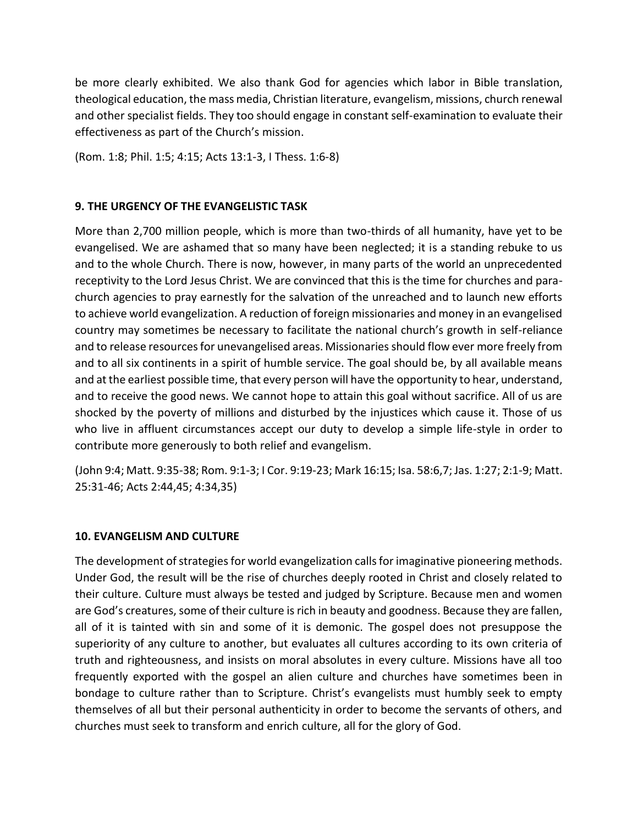be more clearly exhibited. We also thank God for agencies which labor in Bible translation, theological education, the mass media, Christian literature, evangelism, missions, church renewal and other specialist fields. They too should engage in constant self-examination to evaluate their effectiveness as part of the Church's mission.

(Rom. 1:8; Phil. 1:5; 4:15; Acts 13:1-3, I Thess. 1:6-8)

#### **9. THE URGENCY OF THE EVANGELISTIC TASK**

More than 2,700 million people, which is more than two-thirds of all humanity, have yet to be evangelised. We are ashamed that so many have been neglected; it is a standing rebuke to us and to the whole Church. There is now, however, in many parts of the world an unprecedented receptivity to the Lord Jesus Christ. We are convinced that this is the time for churches and parachurch agencies to pray earnestly for the salvation of the unreached and to launch new efforts to achieve world evangelization. A reduction of foreign missionaries and money in an evangelised country may sometimes be necessary to facilitate the national church's growth in self-reliance and to release resources for unevangelised areas. Missionaries should flow ever more freely from and to all six continents in a spirit of humble service. The goal should be, by all available means and at the earliest possible time, that every person will have the opportunity to hear, understand, and to receive the good news. We cannot hope to attain this goal without sacrifice. All of us are shocked by the poverty of millions and disturbed by the injustices which cause it. Those of us who live in affluent circumstances accept our duty to develop a simple life-style in order to contribute more generously to both relief and evangelism.

(John 9:4; Matt. 9:35-38; Rom. 9:1-3; I Cor. 9:19-23; Mark 16:15; Isa. 58:6,7; Jas. 1:27; 2:1-9; Matt. 25:31-46; Acts 2:44,45; 4:34,35)

#### **10. EVANGELISM AND CULTURE**

The development of strategies for world evangelization calls for imaginative pioneering methods. Under God, the result will be the rise of churches deeply rooted in Christ and closely related to their culture. Culture must always be tested and judged by Scripture. Because men and women are God's creatures, some of their culture is rich in beauty and goodness. Because they are fallen, all of it is tainted with sin and some of it is demonic. The gospel does not presuppose the superiority of any culture to another, but evaluates all cultures according to its own criteria of truth and righteousness, and insists on moral absolutes in every culture. Missions have all too frequently exported with the gospel an alien culture and churches have sometimes been in bondage to culture rather than to Scripture. Christ's evangelists must humbly seek to empty themselves of all but their personal authenticity in order to become the servants of others, and churches must seek to transform and enrich culture, all for the glory of God.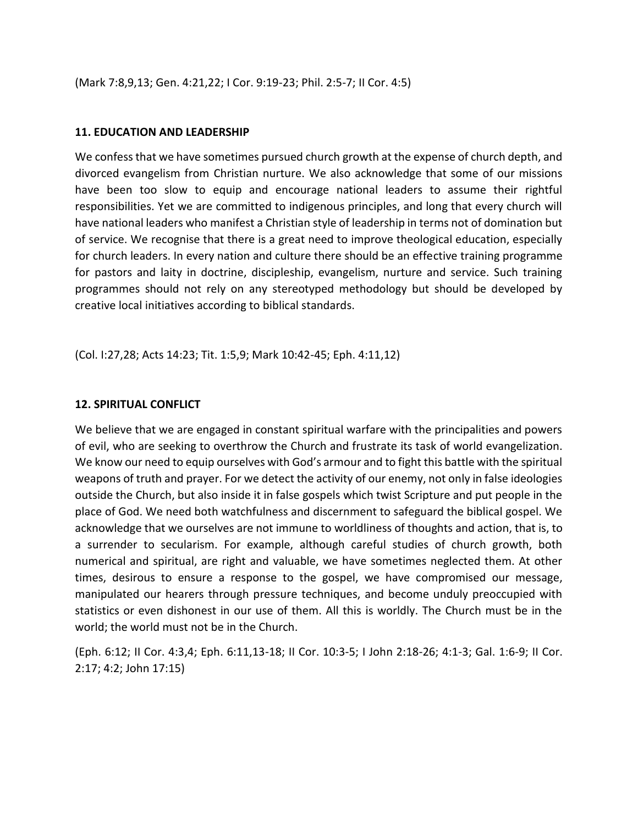(Mark 7:8,9,13; Gen. 4:21,22; I Cor. 9:19-23; Phil. 2:5-7; II Cor. 4:5)

#### **11. EDUCATION AND LEADERSHIP**

We confess that we have sometimes pursued church growth at the expense of church depth, and divorced evangelism from Christian nurture. We also acknowledge that some of our missions have been too slow to equip and encourage national leaders to assume their rightful responsibilities. Yet we are committed to indigenous principles, and long that every church will have national leaders who manifest a Christian style of leadership in terms not of domination but of service. We recognise that there is a great need to improve theological education, especially for church leaders. In every nation and culture there should be an effective training programme for pastors and laity in doctrine, discipleship, evangelism, nurture and service. Such training programmes should not rely on any stereotyped methodology but should be developed by creative local initiatives according to biblical standards.

(Col. I:27,28; Acts 14:23; Tit. 1:5,9; Mark 10:42-45; Eph. 4:11,12)

#### **12. SPIRITUAL CONFLICT**

We believe that we are engaged in constant spiritual warfare with the principalities and powers of evil, who are seeking to overthrow the Church and frustrate its task of world evangelization. We know our need to equip ourselves with God's armour and to fight this battle with the spiritual weapons of truth and prayer. For we detect the activity of our enemy, not only in false ideologies outside the Church, but also inside it in false gospels which twist Scripture and put people in the place of God. We need both watchfulness and discernment to safeguard the biblical gospel. We acknowledge that we ourselves are not immune to worldliness of thoughts and action, that is, to a surrender to secularism. For example, although careful studies of church growth, both numerical and spiritual, are right and valuable, we have sometimes neglected them. At other times, desirous to ensure a response to the gospel, we have compromised our message, manipulated our hearers through pressure techniques, and become unduly preoccupied with statistics or even dishonest in our use of them. All this is worldly. The Church must be in the world; the world must not be in the Church.

(Eph. 6:12; II Cor. 4:3,4; Eph. 6:11,13-18; II Cor. 10:3-5; I John 2:18-26; 4:1-3; Gal. 1:6-9; II Cor. 2:17; 4:2; John 17:15)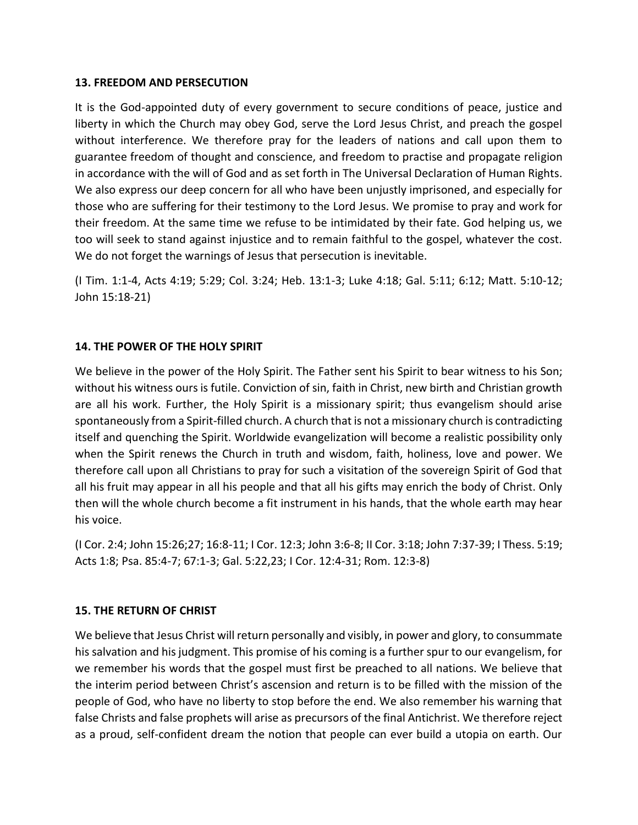#### **13. FREEDOM AND PERSECUTION**

It is the God-appointed duty of every government to secure conditions of peace, justice and liberty in which the Church may obey God, serve the Lord Jesus Christ, and preach the gospel without interference. We therefore pray for the leaders of nations and call upon them to guarantee freedom of thought and conscience, and freedom to practise and propagate religion in accordance with the will of God and as set forth in The Universal Declaration of Human Rights. We also express our deep concern for all who have been unjustly imprisoned, and especially for those who are suffering for their testimony to the Lord Jesus. We promise to pray and work for their freedom. At the same time we refuse to be intimidated by their fate. God helping us, we too will seek to stand against injustice and to remain faithful to the gospel, whatever the cost. We do not forget the warnings of Jesus that persecution is inevitable.

(I Tim. 1:1-4, Acts 4:19; 5:29; Col. 3:24; Heb. 13:1-3; Luke 4:18; Gal. 5:11; 6:12; Matt. 5:10-12; John 15:18-21)

#### **14. THE POWER OF THE HOLY SPIRIT**

We believe in the power of the Holy Spirit. The Father sent his Spirit to bear witness to his Son; without his witness ours is futile. Conviction of sin, faith in Christ, new birth and Christian growth are all his work. Further, the Holy Spirit is a missionary spirit; thus evangelism should arise spontaneously from a Spirit-filled church. A church that is not a missionary church is contradicting itself and quenching the Spirit. Worldwide evangelization will become a realistic possibility only when the Spirit renews the Church in truth and wisdom, faith, holiness, love and power. We therefore call upon all Christians to pray for such a visitation of the sovereign Spirit of God that all his fruit may appear in all his people and that all his gifts may enrich the body of Christ. Only then will the whole church become a fit instrument in his hands, that the whole earth may hear his voice.

(I Cor. 2:4; John 15:26;27; 16:8-11; I Cor. 12:3; John 3:6-8; II Cor. 3:18; John 7:37-39; I Thess. 5:19; Acts 1:8; Psa. 85:4-7; 67:1-3; Gal. 5:22,23; I Cor. 12:4-31; Rom. 12:3-8)

#### **15. THE RETURN OF CHRIST**

We believe that Jesus Christ will return personally and visibly, in power and glory, to consummate his salvation and his judgment. This promise of his coming is a further spur to our evangelism, for we remember his words that the gospel must first be preached to all nations. We believe that the interim period between Christ's ascension and return is to be filled with the mission of the people of God, who have no liberty to stop before the end. We also remember his warning that false Christs and false prophets will arise as precursors of the final Antichrist. We therefore reject as a proud, self-confident dream the notion that people can ever build a utopia on earth. Our